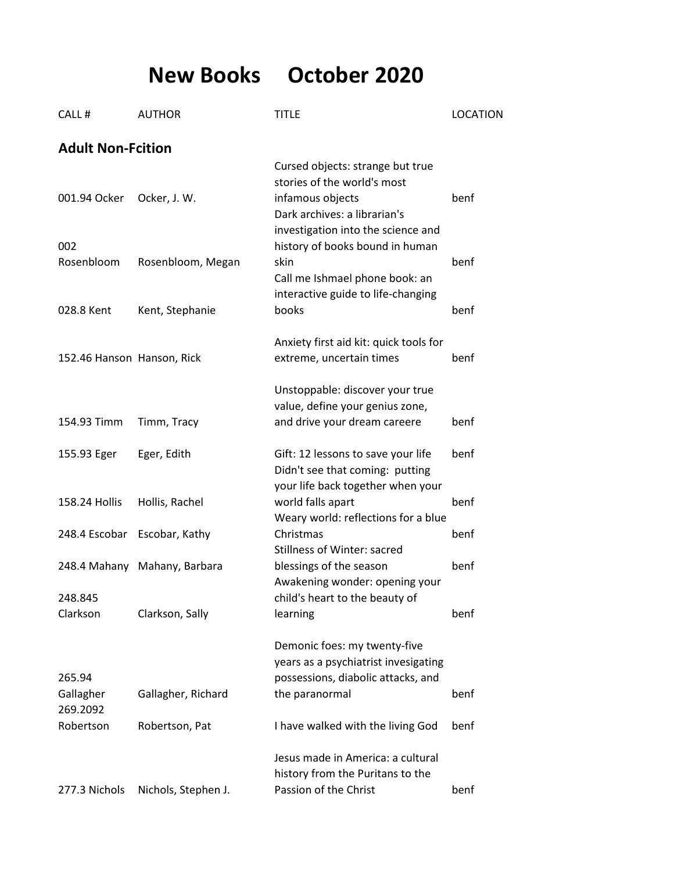**New Books October 2020**

| CALL#                           | <b>AUTHOR</b>                | <b>TITLE</b>                                                                                                                                          | <b>LOCATION</b> |
|---------------------------------|------------------------------|-------------------------------------------------------------------------------------------------------------------------------------------------------|-----------------|
| <b>Adult Non-Fcition</b>        |                              |                                                                                                                                                       |                 |
| 001.94 Ocker                    | Ocker, J. W.                 | Cursed objects: strange but true<br>stories of the world's most<br>infamous objects<br>Dark archives: a librarian's                                   | benf            |
| 002<br>Rosenbloom               | Rosenbloom, Megan            | investigation into the science and<br>history of books bound in human<br>skin<br>Call me Ishmael phone book: an<br>interactive guide to life-changing | benf            |
| 028.8 Kent                      | Kent, Stephanie              | books                                                                                                                                                 | benf            |
| 152.46 Hanson Hanson, Rick      |                              | Anxiety first aid kit: quick tools for<br>extreme, uncertain times                                                                                    | benf            |
| 154.93 Timm                     | Timm, Tracy                  | Unstoppable: discover your true<br>value, define your genius zone,<br>and drive your dream careere                                                    | benf            |
| 155.93 Eger                     | Eger, Edith                  | Gift: 12 lessons to save your life<br>Didn't see that coming: putting<br>your life back together when your                                            | benf            |
| 158.24 Hollis                   | Hollis, Rachel               | world falls apart<br>Weary world: reflections for a blue                                                                                              | benf            |
|                                 | 248.4 Escobar Escobar, Kathy | Christmas<br>Stillness of Winter: sacred                                                                                                              | benf            |
| 248.845                         | 248.4 Mahany Mahany, Barbara | blessings of the season<br>Awakening wonder: opening your<br>child's heart to the beauty of                                                           | benf            |
| Clarkson                        | Clarkson, Sally              | learning                                                                                                                                              | benf            |
|                                 |                              | Demonic foes: my twenty-five<br>years as a psychiatrist invesigating                                                                                  |                 |
| 265.94<br>Gallagher<br>269.2092 | Gallagher, Richard           | possessions, diabolic attacks, and<br>the paranormal                                                                                                  | benf            |
| Robertson                       | Robertson, Pat               | I have walked with the living God                                                                                                                     | benf            |
| 277.3 Nichols                   | Nichols, Stephen J.          | Jesus made in America: a cultural<br>history from the Puritans to the<br>Passion of the Christ                                                        | benf            |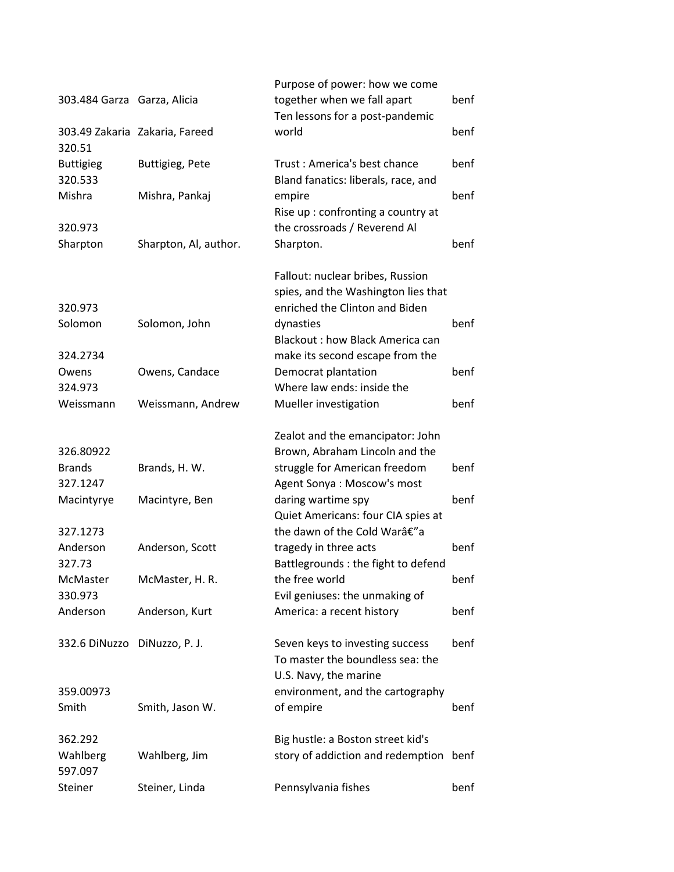|                              |                                | Purpose of power: how we come                                                                |             |
|------------------------------|--------------------------------|----------------------------------------------------------------------------------------------|-------------|
| 303.484 Garza Garza, Alicia  |                                | together when we fall apart<br>Ten lessons for a post-pandemic                               | benf        |
| 320.51                       | 303.49 Zakaria Zakaria, Fareed | world                                                                                        | benf        |
| <b>Buttigieg</b><br>320.533  | <b>Buttigieg, Pete</b>         | Trust: America's best chance<br>Bland fanatics: liberals, race, and                          | benf        |
| Mishra                       | Mishra, Pankaj                 | empire<br>Rise up: confronting a country at                                                  | benf        |
| 320.973                      |                                | the crossroads / Reverend Al                                                                 |             |
| Sharpton                     | Sharpton, Al, author.          | Sharpton.                                                                                    | benf        |
|                              |                                | Fallout: nuclear bribes, Russion<br>spies, and the Washington lies that                      |             |
| 320.973                      |                                | enriched the Clinton and Biden                                                               |             |
| Solomon                      | Solomon, John                  | dynasties                                                                                    | <b>benf</b> |
|                              |                                | <b>Blackout: how Black America can</b>                                                       |             |
| 324.2734                     |                                | make its second escape from the                                                              |             |
| Owens                        | Owens, Candace                 | Democrat plantation                                                                          | benf        |
| 324.973                      |                                | Where law ends: inside the                                                                   |             |
| Weissmann                    | Weissmann, Andrew              | Mueller investigation                                                                        | benf        |
|                              |                                | Zealot and the emancipator: John                                                             |             |
| 326.80922                    |                                | Brown, Abraham Lincoln and the                                                               |             |
| <b>Brands</b>                | Brands, H. W.                  | struggle for American freedom                                                                | benf        |
| 327.1247                     |                                | Agent Sonya: Moscow's most                                                                   |             |
| Macintyrye                   | Macintyre, Ben                 | daring wartime spy<br>Quiet Americans: four CIA spies at                                     | benf        |
| 327.1273                     |                                | the dawn of the Cold Warâ€"a                                                                 |             |
| Anderson<br>327.73           | Anderson, Scott                | tragedy in three acts<br>Battlegrounds : the fight to defend                                 | benf        |
| McMaster                     | McMaster, H. R.                | the free world                                                                               | benf        |
| 330.973                      |                                | Evil geniuses: the unmaking of                                                               |             |
| Anderson                     | Anderson, Kurt                 | America: a recent history                                                                    | benf        |
| 332.6 DiNuzzo DiNuzzo, P. J. |                                | Seven keys to investing success<br>To master the boundless sea: the<br>U.S. Navy, the marine | benf        |
| 359.00973                    |                                | environment, and the cartography                                                             |             |
| Smith                        | Smith, Jason W.                | of empire                                                                                    | benf        |
| 362.292                      |                                | Big hustle: a Boston street kid's                                                            |             |
| Wahlberg<br>597.097          | Wahlberg, Jim                  | story of addiction and redemption                                                            | benf        |
| Steiner                      | Steiner, Linda                 | Pennsylvania fishes                                                                          | benf        |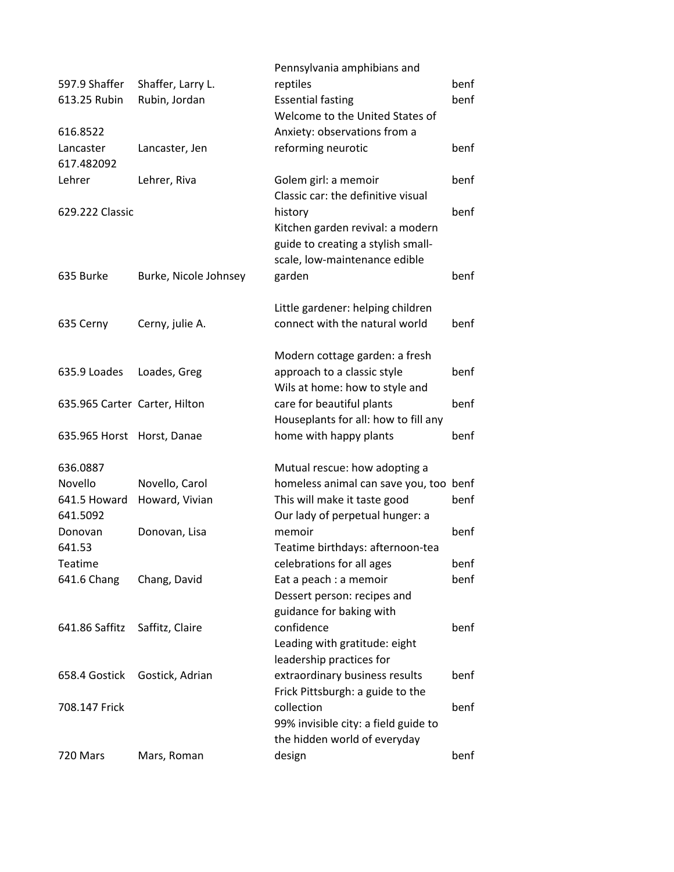|                               |                       | Pennsylvania amphibians and            |      |
|-------------------------------|-----------------------|----------------------------------------|------|
| 597.9 Shaffer                 | Shaffer, Larry L.     | reptiles                               | benf |
| 613.25 Rubin                  | Rubin, Jordan         | <b>Essential fasting</b>               | benf |
|                               |                       | Welcome to the United States of        |      |
| 616.8522                      |                       | Anxiety: observations from a           |      |
| Lancaster                     | Lancaster, Jen        | reforming neurotic                     | benf |
| 617.482092                    |                       |                                        |      |
| Lehrer                        | Lehrer, Riva          | Golem girl: a memoir                   | benf |
|                               |                       | Classic car: the definitive visual     |      |
| 629.222 Classic               |                       | history                                | benf |
|                               |                       | Kitchen garden revival: a modern       |      |
|                               |                       | guide to creating a stylish small-     |      |
|                               |                       | scale, low-maintenance edible          |      |
| 635 Burke                     | Burke, Nicole Johnsey | garden                                 | benf |
|                               |                       |                                        |      |
|                               |                       | Little gardener: helping children      |      |
| 635 Cerny                     | Cerny, julie A.       | connect with the natural world         | benf |
|                               |                       |                                        |      |
|                               |                       | Modern cottage garden: a fresh         |      |
| 635.9 Loades                  | Loades, Greg          | approach to a classic style            | benf |
|                               |                       | Wils at home: how to style and         |      |
| 635.965 Carter Carter, Hilton |                       | care for beautiful plants              | benf |
|                               |                       | Houseplants for all: how to fill any   |      |
| 635.965 Horst                 | Horst, Danae          | home with happy plants                 | benf |
|                               |                       |                                        |      |
| 636.0887                      |                       | Mutual rescue: how adopting a          |      |
| Novello                       | Novello, Carol        | homeless animal can save you, too benf |      |
| 641.5 Howard                  | Howard, Vivian        | This will make it taste good           | benf |
| 641.5092                      |                       | Our lady of perpetual hunger: a        |      |
| Donovan                       | Donovan, Lisa         | memoir                                 | benf |
| 641.53                        |                       | Teatime birthdays: afternoon-tea       |      |
| Teatime                       |                       | celebrations for all ages              | benf |
| 641.6 Chang                   | Chang, David          | Eat a peach : a memoir                 | benf |
|                               |                       | Dessert person: recipes and            |      |
|                               |                       | guidance for baking with               |      |
| 641.86 Saffitz                | Saffitz, Claire       | confidence                             | benf |
|                               |                       | Leading with gratitude: eight          |      |
|                               |                       | leadership practices for               |      |
| 658.4 Gostick                 | Gostick, Adrian       | extraordinary business results         | benf |
|                               |                       | Frick Pittsburgh: a guide to the       |      |
| 708.147 Frick                 |                       | collection                             | benf |
|                               |                       | 99% invisible city: a field guide to   |      |
|                               |                       | the hidden world of everyday           |      |
| 720 Mars                      | Mars, Roman           | design                                 | benf |
|                               |                       |                                        |      |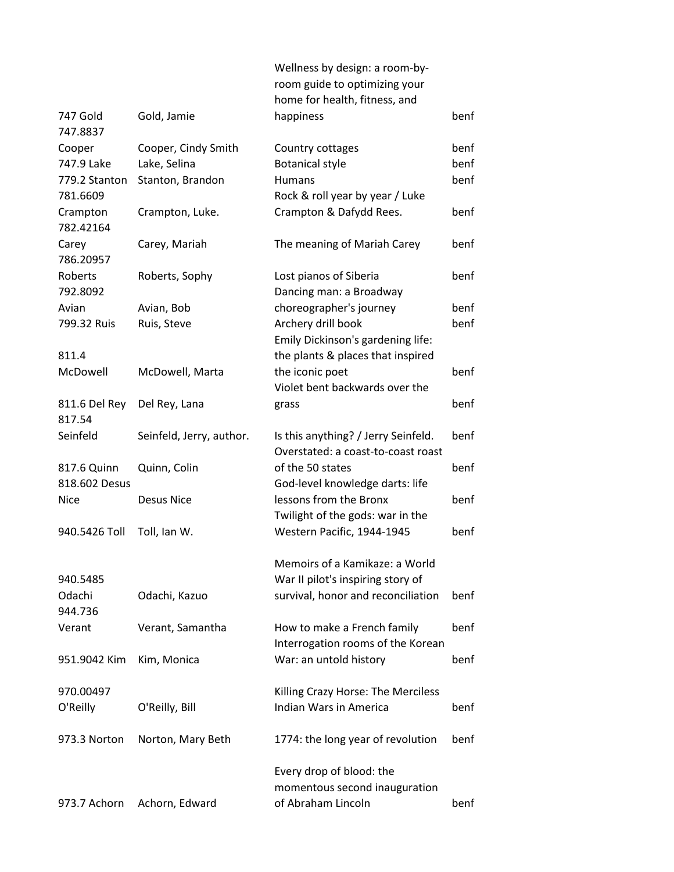|                    |                          | Wellness by design: a room-by-<br>room guide to optimizing your<br>home for health, fitness, and |      |
|--------------------|--------------------------|--------------------------------------------------------------------------------------------------|------|
| 747 Gold           | Gold, Jamie              | happiness                                                                                        | benf |
| 747.8837           |                          |                                                                                                  |      |
| Cooper             | Cooper, Cindy Smith      | Country cottages                                                                                 | benf |
| 747.9 Lake         | Lake, Selina             | <b>Botanical style</b>                                                                           | benf |
| 779.2 Stanton      | Stanton, Brandon         | <b>Humans</b>                                                                                    | benf |
| 781.6609           |                          | Rock & roll year by year / Luke                                                                  |      |
| Crampton           | Crampton, Luke.          | Crampton & Dafydd Rees.                                                                          | benf |
| 782.42164          |                          |                                                                                                  |      |
| Carey<br>786.20957 | Carey, Mariah            | The meaning of Mariah Carey                                                                      | benf |
| Roberts            | Roberts, Sophy           | Lost pianos of Siberia                                                                           | benf |
| 792.8092           |                          | Dancing man: a Broadway                                                                          |      |
| Avian              | Avian, Bob               | choreographer's journey                                                                          | benf |
| 799.32 Ruis        | Ruis, Steve              | Archery drill book                                                                               | benf |
|                    |                          | Emily Dickinson's gardening life:                                                                |      |
| 811.4              |                          | the plants & places that inspired                                                                |      |
| McDowell           | McDowell, Marta          | the iconic poet                                                                                  | benf |
|                    |                          | Violet bent backwards over the                                                                   |      |
| 811.6 Del Rey      | Del Rey, Lana            | grass                                                                                            | benf |
| 817.54             |                          |                                                                                                  |      |
| Seinfeld           | Seinfeld, Jerry, author. | Is this anything? / Jerry Seinfeld.                                                              | benf |
|                    |                          | Overstated: a coast-to-coast roast                                                               |      |
| 817.6 Quinn        | Quinn, Colin             | of the 50 states                                                                                 | benf |
| 818.602 Desus      | <b>Desus Nice</b>        | God-level knowledge darts: life<br>lessons from the Bronx                                        | benf |
| Nice               |                          | Twilight of the gods: war in the                                                                 |      |
| 940.5426 Toll      | Toll, Ian W.             | Western Pacific, 1944-1945                                                                       | benf |
|                    |                          |                                                                                                  |      |
|                    |                          | Memoirs of a Kamikaze: a World                                                                   |      |
| 940.5485           |                          | War II pilot's inspiring story of                                                                |      |
| Odachi             | Odachi, Kazuo            | survival, honor and reconciliation                                                               | benf |
| 944.736            |                          |                                                                                                  |      |
| Verant             | Verant, Samantha         | How to make a French family                                                                      | benf |
|                    |                          | Interrogation rooms of the Korean                                                                |      |
| 951.9042 Kim       | Kim, Monica              | War: an untold history                                                                           | benf |
| 970.00497          |                          | Killing Crazy Horse: The Merciless                                                               |      |
| O'Reilly           | O'Reilly, Bill           | Indian Wars in America                                                                           | benf |
|                    |                          |                                                                                                  |      |
| 973.3 Norton       | Norton, Mary Beth        | 1774: the long year of revolution                                                                | benf |
|                    |                          | Every drop of blood: the                                                                         |      |
|                    |                          | momentous second inauguration                                                                    |      |
| 973.7 Achorn       | Achorn, Edward           | of Abraham Lincoln                                                                               | benf |
|                    |                          |                                                                                                  |      |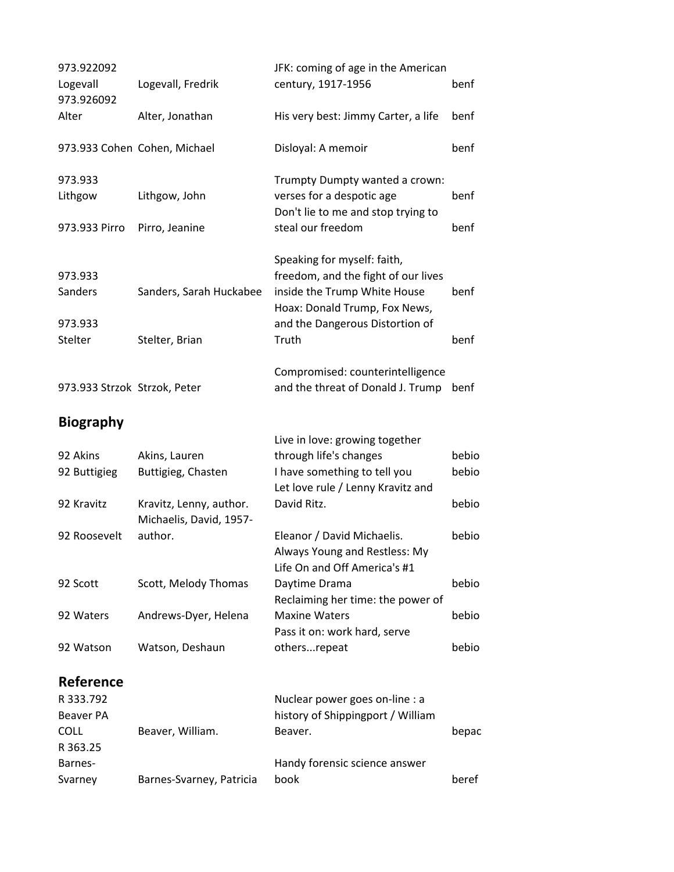| 973.922092<br>Logevall<br>973.926092 | Logevall, Fredrik                                  | JFK: coming of age in the American<br>century, 1917-1956                                                                                                               | benf  |
|--------------------------------------|----------------------------------------------------|------------------------------------------------------------------------------------------------------------------------------------------------------------------------|-------|
| Alter                                | Alter, Jonathan                                    | His very best: Jimmy Carter, a life                                                                                                                                    | benf  |
|                                      | 973.933 Cohen Cohen, Michael                       | Disloyal: A memoir                                                                                                                                                     | benf  |
| 973.933<br>Lithgow                   | Lithgow, John                                      | Trumpty Dumpty wanted a crown:<br>verses for a despotic age<br>Don't lie to me and stop trying to                                                                      | benf  |
| 973.933 Pirro                        | Pirro, Jeanine                                     | steal our freedom                                                                                                                                                      | benf  |
| 973.933<br>Sanders<br>973.933        | Sanders, Sarah Huckabee                            | Speaking for myself: faith,<br>freedom, and the fight of our lives<br>inside the Trump White House<br>Hoax: Donald Trump, Fox News,<br>and the Dangerous Distortion of | benf  |
| Stelter                              | Stelter, Brian                                     | Truth                                                                                                                                                                  | benf  |
| 973.933 Strzok Strzok, Peter         |                                                    | Compromised: counterintelligence<br>and the threat of Donald J. Trump                                                                                                  | benf  |
| <b>Biography</b>                     |                                                    |                                                                                                                                                                        |       |
| 92 Akins                             | Akins, Lauren                                      | Live in love: growing together<br>through life's changes                                                                                                               | bebio |
| 92 Buttigieg                         | Buttigieg, Chasten                                 | I have something to tell you                                                                                                                                           | bebio |
|                                      |                                                    | Let love rule / Lenny Kravitz and                                                                                                                                      |       |
| 92 Kravitz                           | Kravitz, Lenny, author.<br>Michaelis, David, 1957- | David Ritz.                                                                                                                                                            | bebio |
| 92 Roosevelt                         | author.                                            | Eleanor / David Michaelis.<br>Always Young and Restless: My<br>Life On and Off America's #1                                                                            | bebio |
| 92 Scott                             | Scott, Melody Thomas                               | Daytime Drama<br>Reclaiming her time: the power of                                                                                                                     | bebio |
| 92 Waters                            | Andrews-Dyer, Helena                               | <b>Maxine Waters</b><br>Pass it on: work hard, serve                                                                                                                   | bebio |
| 92 Watson                            | Watson, Deshaun                                    | othersrepeat                                                                                                                                                           | bebio |
| Reference                            |                                                    |                                                                                                                                                                        |       |
| R 333.792                            |                                                    | Nuclear power goes on-line : a                                                                                                                                         |       |
| <b>Beaver PA</b>                     |                                                    | history of Shippingport / William                                                                                                                                      |       |
| <b>COLL</b><br>R 363.25              | Beaver, William.                                   | Beaver.                                                                                                                                                                | bepac |
| Barnes-                              |                                                    | Handy forensic science answer                                                                                                                                          |       |
| Svarney                              | Barnes-Svarney, Patricia                           | book                                                                                                                                                                   | beref |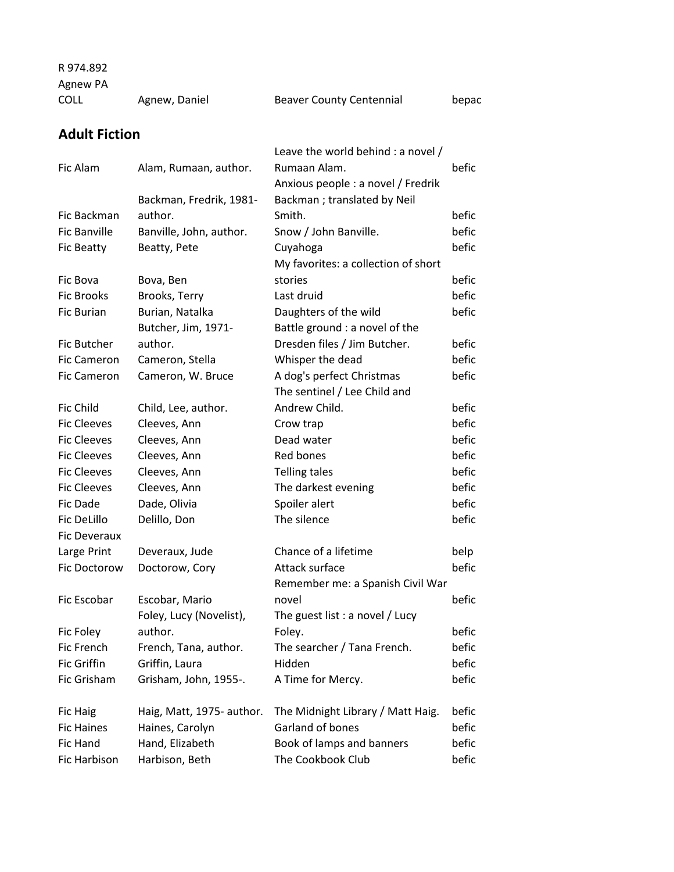R 974.892

Agnew PA

| COLL | Agnew, Daniel | <b>Beaver County Centennial</b> | bepac |
|------|---------------|---------------------------------|-------|
|      |               |                                 |       |

## **Adult Fiction**

| Fic Alam            | Alam, Rumaan, author.     | Leave the world behind : a novel /<br>Rumaan Alam. | befic |
|---------------------|---------------------------|----------------------------------------------------|-------|
|                     |                           | Anxious people : a novel / Fredrik                 |       |
|                     | Backman, Fredrik, 1981-   | Backman; translated by Neil                        |       |
| Fic Backman         | author.                   | Smith.                                             | befic |
| <b>Fic Banville</b> | Banville, John, author.   | Snow / John Banville.                              | befic |
| <b>Fic Beatty</b>   | Beatty, Pete              | Cuyahoga                                           | befic |
|                     |                           | My favorites: a collection of short                |       |
| Fic Bova            | Bova, Ben                 | stories                                            | befic |
| <b>Fic Brooks</b>   | Brooks, Terry             | Last druid                                         | befic |
| <b>Fic Burian</b>   | Burian, Natalka           | Daughters of the wild                              | befic |
|                     | Butcher, Jim, 1971-       | Battle ground : a novel of the                     |       |
| Fic Butcher         | author.                   | Dresden files / Jim Butcher.                       | befic |
| <b>Fic Cameron</b>  | Cameron, Stella           | Whisper the dead                                   | befic |
| <b>Fic Cameron</b>  | Cameron, W. Bruce         | A dog's perfect Christmas                          | befic |
|                     |                           | The sentinel / Lee Child and                       |       |
| Fic Child           | Child, Lee, author.       | Andrew Child.                                      | befic |
| <b>Fic Cleeves</b>  | Cleeves, Ann              | Crow trap                                          | befic |
| <b>Fic Cleeves</b>  | Cleeves, Ann              | Dead water                                         | befic |
| <b>Fic Cleeves</b>  | Cleeves, Ann              | Red bones                                          | befic |
| <b>Fic Cleeves</b>  | Cleeves, Ann              | <b>Telling tales</b>                               | befic |
| <b>Fic Cleeves</b>  | Cleeves, Ann              | The darkest evening                                | befic |
| Fic Dade            | Dade, Olivia              | Spoiler alert                                      | befic |
| Fic DeLillo         | Delillo, Don              | The silence                                        | befic |
| Fic Deveraux        |                           |                                                    |       |
| Large Print         | Deveraux, Jude            | Chance of a lifetime                               | belp  |
| Fic Doctorow        | Doctorow, Cory            | Attack surface                                     | befic |
|                     |                           | Remember me: a Spanish Civil War                   |       |
| Fic Escobar         | Escobar, Mario            | novel                                              | befic |
|                     | Foley, Lucy (Novelist),   | The guest list : a novel / Lucy                    |       |
| Fic Foley           | author.                   | Folev.                                             | befic |
| Fic French          | French, Tana, author.     | The searcher / Tana French.                        | befic |
| Fic Griffin         | Griffin, Laura            | Hidden                                             | befic |
| Fic Grisham         | Grisham, John, 1955-.     | A Time for Mercy.                                  | befic |
|                     |                           |                                                    |       |
| <b>Fic Haig</b>     | Haig, Matt, 1975- author. | The Midnight Library / Matt Haig.                  | befic |
| <b>Fic Haines</b>   | Haines, Carolyn           | Garland of bones                                   | befic |
| Fic Hand            | Hand, Elizabeth           | Book of lamps and banners                          | befic |
| Fic Harbison        | Harbison, Beth            | The Cookbook Club                                  | befic |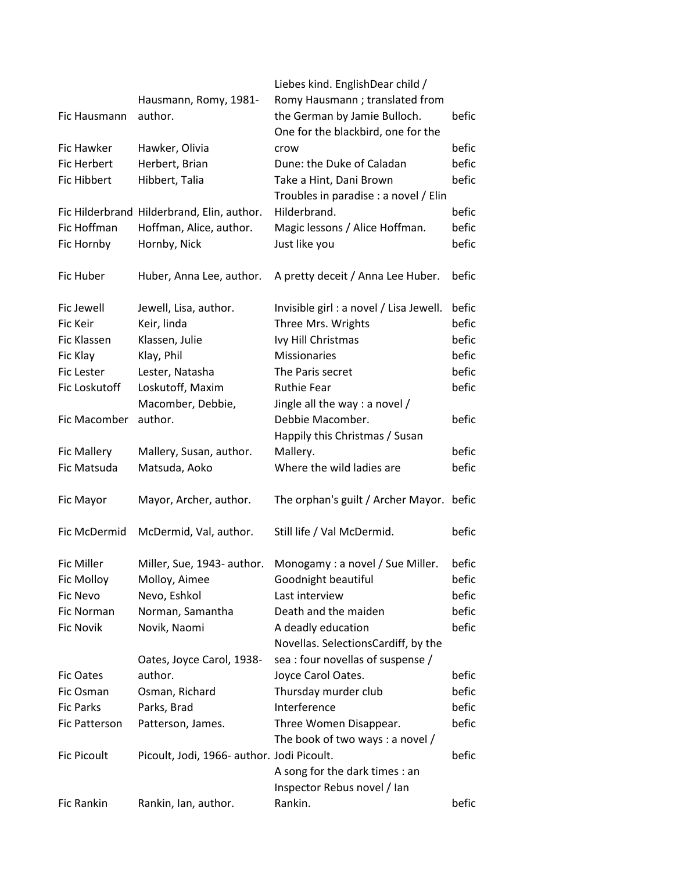|                    |                                            | Liebes kind. EnglishDear child /        |       |
|--------------------|--------------------------------------------|-----------------------------------------|-------|
|                    | Hausmann, Romy, 1981-                      | Romy Hausmann; translated from          |       |
| Fic Hausmann       | author.                                    | the German by Jamie Bulloch.            | befic |
|                    |                                            | One for the blackbird, one for the      |       |
| Fic Hawker         | Hawker, Olivia                             | crow                                    | befic |
| Fic Herbert        | Herbert, Brian                             | Dune: the Duke of Caladan               | befic |
| Fic Hibbert        | Hibbert, Talia                             | Take a Hint, Dani Brown                 | befic |
|                    |                                            | Troubles in paradise : a novel / Elin   |       |
|                    | Fic Hilderbrand Hilderbrand, Elin, author. | Hilderbrand.                            | befic |
| Fic Hoffman        | Hoffman, Alice, author.                    | Magic lessons / Alice Hoffman.          | befic |
| Fic Hornby         | Hornby, Nick                               | Just like you                           | befic |
| Fic Huber          | Huber, Anna Lee, author.                   | A pretty deceit / Anna Lee Huber.       | befic |
| Fic Jewell         | Jewell, Lisa, author.                      | Invisible girl : a novel / Lisa Jewell. | befic |
| Fic Keir           | Keir, linda                                | Three Mrs. Wrights                      | befic |
| Fic Klassen        | Klassen, Julie                             | Ivy Hill Christmas                      | befic |
| Fic Klay           | Klay, Phil                                 | <b>Missionaries</b>                     | befic |
| <b>Fic Lester</b>  | Lester, Natasha                            | The Paris secret                        | befic |
| Fic Loskutoff      | Loskutoff, Maxim                           | <b>Ruthie Fear</b>                      | befic |
|                    | Macomber, Debbie,                          | Jingle all the way : a novel /          |       |
| Fic Macomber       | author.                                    | Debbie Macomber.                        | befic |
|                    |                                            | Happily this Christmas / Susan          |       |
| <b>Fic Mallery</b> | Mallery, Susan, author.                    | Mallery.                                | befic |
| Fic Matsuda        | Matsuda, Aoko                              | Where the wild ladies are               | befic |
| Fic Mayor          | Mayor, Archer, author.                     | The orphan's guilt / Archer Mayor.      | befic |
| Fic McDermid       | McDermid, Val, author.                     | Still life / Val McDermid.              | befic |
| <b>Fic Miller</b>  | Miller, Sue, 1943- author.                 | Monogamy: a novel / Sue Miller.         | befic |
| Fic Molloy         | Molloy, Aimee                              | Goodnight beautiful                     | befic |
| <b>Fic Nevo</b>    | Nevo, Eshkol                               | Last interview                          | befic |
| Fic Norman         | Norman, Samantha                           | Death and the maiden                    | befic |
| <b>Fic Novik</b>   | Novik, Naomi                               | A deadly education                      | befic |
|                    |                                            | Novellas. SelectionsCardiff, by the     |       |
|                    | Oates, Joyce Carol, 1938-                  | sea : four novellas of suspense /       |       |
| <b>Fic Oates</b>   | author.                                    | Joyce Carol Oates.                      | befic |
| Fic Osman          | Osman, Richard                             | Thursday murder club                    | befic |
| <b>Fic Parks</b>   | Parks, Brad                                | Interference                            | befic |
| Fic Patterson      | Patterson, James.                          | Three Women Disappear.                  | befic |
|                    |                                            | The book of two ways: a novel /         |       |
| <b>Fic Picoult</b> | Picoult, Jodi, 1966- author. Jodi Picoult. |                                         | befic |
|                    |                                            | A song for the dark times : an          |       |
|                    |                                            | Inspector Rebus novel / Ian             |       |
| Fic Rankin         | Rankin, Ian, author.                       | Rankin.                                 | befic |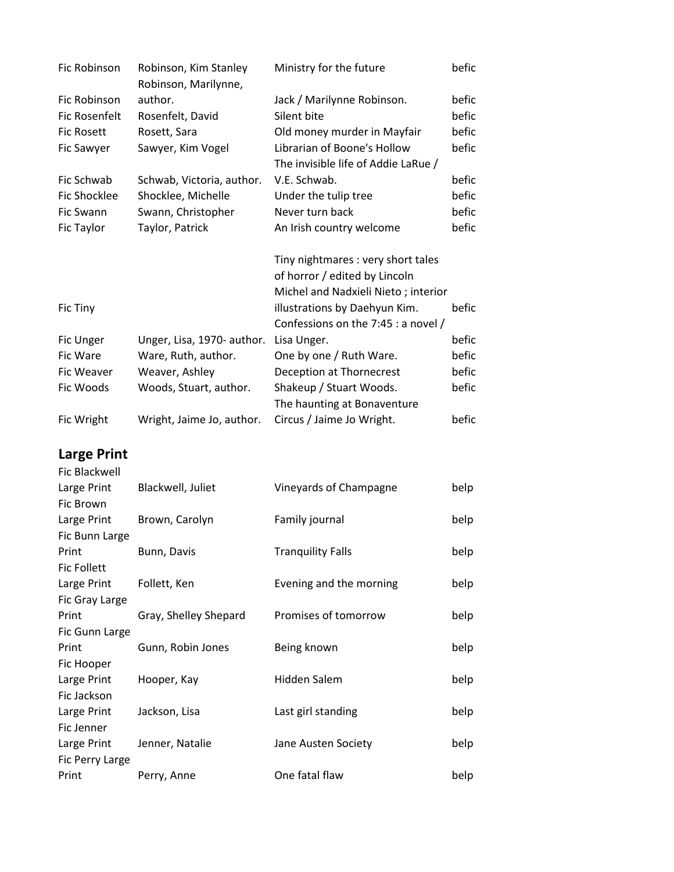| Fic Robinson        | Robinson, Kim Stanley<br>Robinson, Marilynne, | Ministry for the future             | befic |
|---------------------|-----------------------------------------------|-------------------------------------|-------|
| Fic Robinson        | author.                                       | Jack / Marilynne Robinson.          | befic |
| Fic Rosenfelt       | Rosenfelt, David                              | Silent bite                         | befic |
| <b>Fic Rosett</b>   | Rosett, Sara                                  | Old money murder in Mayfair         | befic |
| Fic Sawyer          | Sawyer, Kim Vogel                             | Librarian of Boone's Hollow         | befic |
|                     |                                               | The invisible life of Addie LaRue / |       |
| Fic Schwab          | Schwab, Victoria, author.                     | V.E. Schwab.                        | befic |
| <b>Fic Shocklee</b> | Shocklee, Michelle                            | Under the tulip tree                | befic |
| Fic Swann           | Swann, Christopher                            | Never turn back                     | befic |
| Fic Taylor          | Taylor, Patrick                               | An Irish country welcome            | befic |
|                     |                                               |                                     |       |
|                     |                                               | Tiny nightmares : very short tales  |       |
|                     |                                               | of horror / edited by Lincoln       |       |
|                     |                                               | Michel and Nadxieli Nieto; interior |       |
| Fic Tiny            |                                               | illustrations by Daehyun Kim.       | befic |
|                     |                                               | Confessions on the 7:45 : a novel / |       |
| Fic Unger           | Unger, Lisa, 1970- author.                    | Lisa Unger.                         | befic |
| Fic Ware            | Ware, Ruth, author.                           | One by one / Ruth Ware.             | befic |
| Fic Weaver          | Weaver, Ashley                                | Deception at Thornecrest            | befic |
| Fic Woods           | Woods, Stuart, author.                        | Shakeup / Stuart Woods.             | befic |
|                     |                                               |                                     |       |
|                     |                                               | The haunting at Bonaventure         |       |

## **Large Print**

| Fic Blackwell      |                       |                          |      |
|--------------------|-----------------------|--------------------------|------|
| Large Print        | Blackwell, Juliet     | Vineyards of Champagne   | belp |
| Fic Brown          |                       |                          |      |
| Large Print        | Brown, Carolyn        | Family journal           | belp |
| Fic Bunn Large     |                       |                          |      |
| Print              | Bunn, Davis           | <b>Tranguility Falls</b> | belp |
| <b>Fic Follett</b> |                       |                          |      |
| Large Print        | Follett, Ken          | Evening and the morning  | belp |
| Fic Gray Large     |                       |                          |      |
| Print              | Gray, Shelley Shepard | Promises of tomorrow     | belp |
| Fic Gunn Large     |                       |                          |      |
| Print              | Gunn, Robin Jones     | Being known              | belp |
| Fic Hooper         |                       |                          |      |
| Large Print        | Hooper, Kay           | Hidden Salem             | belp |
| Fic Jackson        |                       |                          |      |
| Large Print        | Jackson, Lisa         | Last girl standing       | belp |
| Fic Jenner         |                       |                          |      |
| Large Print        | Jenner, Natalie       | Jane Austen Society      | belp |
| Fic Perry Large    |                       |                          |      |
| Print              | Perry, Anne           | One fatal flaw           | belp |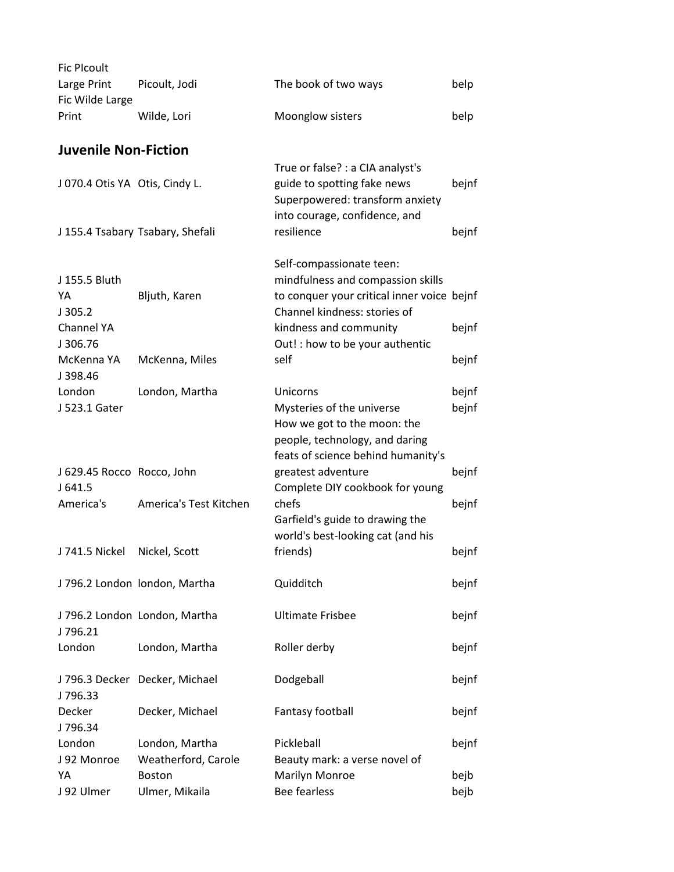| <b>Fic Plcoult</b>                   |                                       |                                                                                                                                             |              |
|--------------------------------------|---------------------------------------|---------------------------------------------------------------------------------------------------------------------------------------------|--------------|
| Large Print<br>Fic Wilde Large       | Picoult, Jodi                         | The book of two ways                                                                                                                        | belp         |
| Print                                | Wilde, Lori                           | Moonglow sisters                                                                                                                            | belp         |
| <b>Juvenile Non-Fiction</b>          |                                       |                                                                                                                                             |              |
| J 070.4 Otis YA Otis, Cindy L.       |                                       | True or false? : a CIA analyst's<br>guide to spotting fake news<br>Superpowered: transform anxiety<br>into courage, confidence, and         | bejnf        |
|                                      | J 155.4 Tsabary Tsabary, Shefali      | resilience                                                                                                                                  | bejnf        |
| J 155.5 Bluth<br>YA<br>J305.2        | Bljuth, Karen                         | Self-compassionate teen:<br>mindfulness and compassion skills<br>to conquer your critical inner voice bejnf<br>Channel kindness: stories of |              |
| Channel YA<br>J306.76                |                                       | kindness and community<br>Out! : how to be your authentic                                                                                   | bejnf        |
| McKenna YA<br>J398.46                | McKenna, Miles                        | self                                                                                                                                        | bejnf        |
| London                               | London, Martha                        | Unicorns                                                                                                                                    | bejnf        |
| J 523.1 Gater                        |                                       | Mysteries of the universe<br>How we got to the moon: the<br>people, technology, and daring<br>feats of science behind humanity's            | bejnf        |
| J 629.45 Rocco Rocco, John<br>J641.5 |                                       | greatest adventure<br>Complete DIY cookbook for young                                                                                       | bejnf        |
| America's                            | America's Test Kitchen                | chefs<br>Garfield's guide to drawing the<br>world's best-looking cat (and his                                                               | bejnf        |
| J 741.5 Nickel                       | Nickel, Scott                         | friends)                                                                                                                                    | bejnf        |
|                                      | J 796.2 London london, Martha         | Quidditch                                                                                                                                   | bejnf        |
| J796.21                              | J 796.2 London London, Martha         | <b>Ultimate Frisbee</b>                                                                                                                     | bejnf        |
| London                               | London, Martha                        | Roller derby                                                                                                                                | bejnf        |
| J796.33                              | J 796.3 Decker Decker, Michael        | Dodgeball                                                                                                                                   | bejnf        |
| Decker<br>J796.34                    | Decker, Michael                       | Fantasy football                                                                                                                            | bejnf        |
| London<br>J 92 Monroe                | London, Martha<br>Weatherford, Carole | Pickleball<br>Beauty mark: a verse novel of                                                                                                 | bejnf        |
| YA<br>J 92 Ulmer                     | <b>Boston</b><br>Ulmer, Mikaila       | Marilyn Monroe<br><b>Bee fearless</b>                                                                                                       | bejb<br>bejb |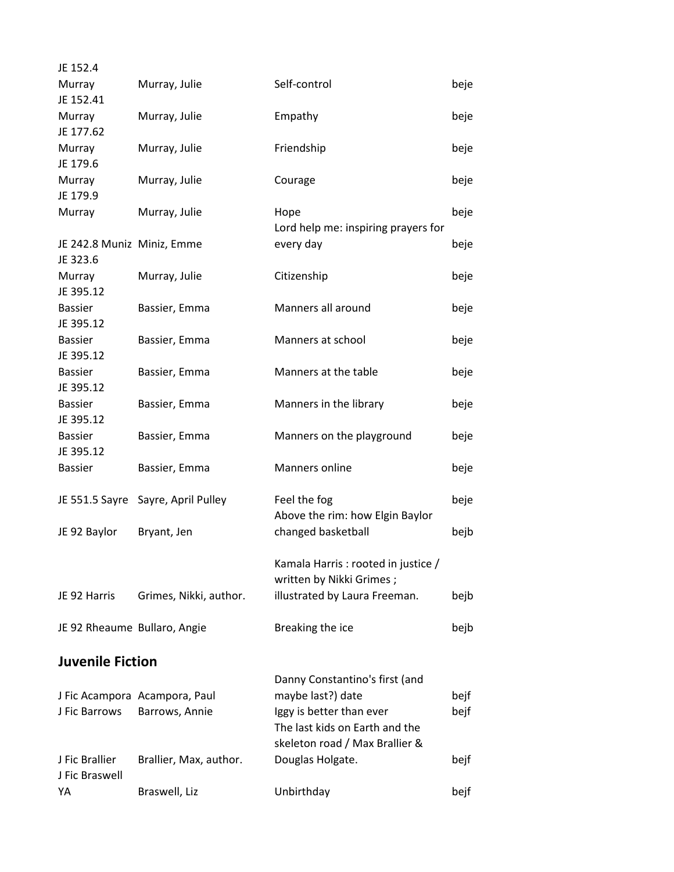| JE 152.4                               |                                    |                                     |      |
|----------------------------------------|------------------------------------|-------------------------------------|------|
| Murray                                 | Murray, Julie                      | Self-control                        | beje |
| JE 152.41                              |                                    |                                     |      |
| Murray                                 | Murray, Julie                      | Empathy                             | beje |
| JE 177.62                              |                                    |                                     |      |
| Murray                                 | Murray, Julie                      | Friendship                          | beje |
| JE 179.6                               |                                    |                                     |      |
| Murray                                 | Murray, Julie                      | Courage                             | beje |
| JE 179.9                               |                                    |                                     |      |
| Murray                                 | Murray, Julie                      | Hope                                | beje |
|                                        |                                    | Lord help me: inspiring prayers for |      |
| JE 242.8 Muniz Miniz, Emme<br>JE 323.6 |                                    | every day                           | beje |
| Murray                                 | Murray, Julie                      | Citizenship                         |      |
| JE 395.12                              |                                    |                                     | beje |
| <b>Bassier</b>                         | Bassier, Emma                      | Manners all around                  | beje |
| JE 395.12                              |                                    |                                     |      |
| <b>Bassier</b>                         | Bassier, Emma                      | Manners at school                   | beje |
| JE 395.12                              |                                    |                                     |      |
| <b>Bassier</b>                         | Bassier, Emma                      | Manners at the table                | beje |
| JE 395.12                              |                                    |                                     |      |
| <b>Bassier</b>                         | Bassier, Emma                      | Manners in the library              | beje |
| JE 395.12                              |                                    |                                     |      |
| <b>Bassier</b>                         | Bassier, Emma                      | Manners on the playground           | beje |
| JE 395.12                              |                                    |                                     |      |
| <b>Bassier</b>                         | Bassier, Emma                      | Manners online                      | beje |
|                                        |                                    |                                     |      |
|                                        | JE 551.5 Sayre Sayre, April Pulley | Feel the fog                        | beje |
|                                        |                                    | Above the rim: how Elgin Baylor     |      |
| JE 92 Baylor                           | Bryant, Jen                        | changed basketball                  | bejb |
|                                        |                                    |                                     |      |
|                                        |                                    | Kamala Harris: rooted in justice /  |      |
|                                        |                                    | written by Nikki Grimes;            |      |
| JE 92 Harris                           | Grimes, Nikki, author.             | illustrated by Laura Freeman.       | bejb |
|                                        |                                    |                                     |      |
| JE 92 Rheaume Bullaro, Angie           |                                    | Breaking the ice                    | bejb |
|                                        |                                    |                                     |      |
| <b>Juvenile Fiction</b>                |                                    |                                     |      |
|                                        |                                    | Danny Constantino's first (and      |      |
|                                        | J Fic Acampora Acampora, Paul      | maybe last?) date                   | bejf |
| J Fic Barrows                          | Barrows, Annie                     | Iggy is better than ever            | bejf |
|                                        |                                    | The last kids on Earth and the      |      |
| J Fic Brallier                         |                                    | skeleton road / Max Brallier &      |      |
| J Fic Braswell                         | Brallier, Max, author.             | Douglas Holgate.                    | bejf |
| YA                                     | Braswell, Liz                      | Unbirthday                          | bejf |
|                                        |                                    |                                     |      |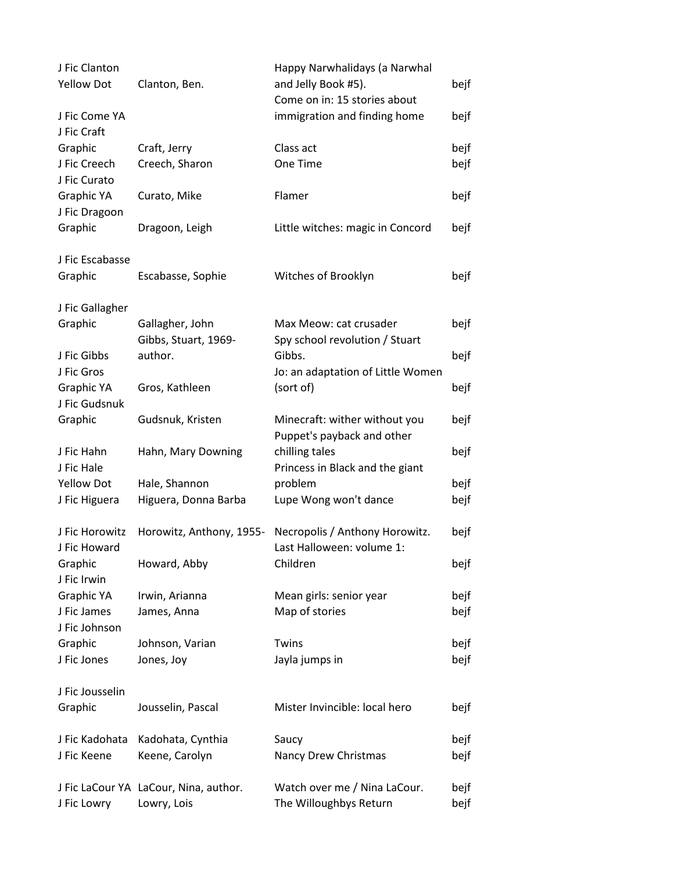| J Fic Clanton<br><b>Yellow Dot</b> | Clanton, Ben.                                        | Happy Narwhalidays (a Narwhal<br>and Jelly Book #5).        | bejf         |
|------------------------------------|------------------------------------------------------|-------------------------------------------------------------|--------------|
|                                    |                                                      | Come on in: 15 stories about                                |              |
| J Fic Come YA<br>J Fic Craft       |                                                      | immigration and finding home                                | bejf         |
| Graphic                            | Craft, Jerry                                         | Class act                                                   | bejf         |
| J Fic Creech<br>J Fic Curato       | Creech, Sharon                                       | One Time                                                    | bejf         |
| Graphic YA<br>J Fic Dragoon        | Curato, Mike                                         | Flamer                                                      | bejf         |
| Graphic                            | Dragoon, Leigh                                       | Little witches: magic in Concord                            | bejf         |
| J Fic Escabasse                    |                                                      |                                                             |              |
| Graphic                            | Escabasse, Sophie                                    | Witches of Brooklyn                                         | bejf         |
| J Fic Gallagher                    |                                                      |                                                             |              |
| Graphic                            | Gallagher, John<br>Gibbs, Stuart, 1969-              | Max Meow: cat crusader<br>Spy school revolution / Stuart    | bejf         |
| J Fic Gibbs                        | author.                                              | Gibbs.                                                      | bejf         |
| J Fic Gros                         |                                                      | Jo: an adaptation of Little Women                           |              |
| Graphic YA                         | Gros, Kathleen                                       | (sort of)                                                   | bejf         |
| J Fic Gudsnuk                      |                                                      |                                                             |              |
| Graphic                            | Gudsnuk, Kristen                                     | Minecraft: wither without you<br>Puppet's payback and other | bejf         |
| J Fic Hahn                         | Hahn, Mary Downing                                   | chilling tales                                              | bejf         |
| J Fic Hale                         |                                                      | Princess in Black and the giant                             |              |
| <b>Yellow Dot</b>                  | Hale, Shannon                                        | problem                                                     | bejf         |
| J Fic Higuera                      | Higuera, Donna Barba                                 | Lupe Wong won't dance                                       | bejf         |
| J Fic Horowitz                     | Horowitz, Anthony, 1955-                             | Necropolis / Anthony Horowitz.                              | bejf         |
| J Fic Howard                       |                                                      | Last Halloween: volume 1:                                   |              |
| Graphic<br>J Fic Irwin             | Howard, Abby                                         | Children                                                    | bejf         |
| Graphic YA                         | Irwin, Arianna                                       | Mean girls: senior year                                     | bejf         |
| J Fic James<br>J Fic Johnson       | James, Anna                                          | Map of stories                                              | bejf         |
| Graphic                            | Johnson, Varian                                      | Twins                                                       | bejf         |
| J Fic Jones                        | Jones, Joy                                           | Jayla jumps in                                              | bejf         |
| J Fic Jousselin                    |                                                      |                                                             |              |
| Graphic                            | Jousselin, Pascal                                    | Mister Invincible: local hero                               | bejf         |
| J Fic Kadohata                     | Kadohata, Cynthia                                    | Saucy                                                       | bejf         |
| J Fic Keene                        | Keene, Carolyn                                       | Nancy Drew Christmas                                        | bejf         |
| J Fic Lowry                        | J Fic LaCour YA LaCour, Nina, author.<br>Lowry, Lois | Watch over me / Nina LaCour.<br>The Willoughbys Return      | bejf<br>bejf |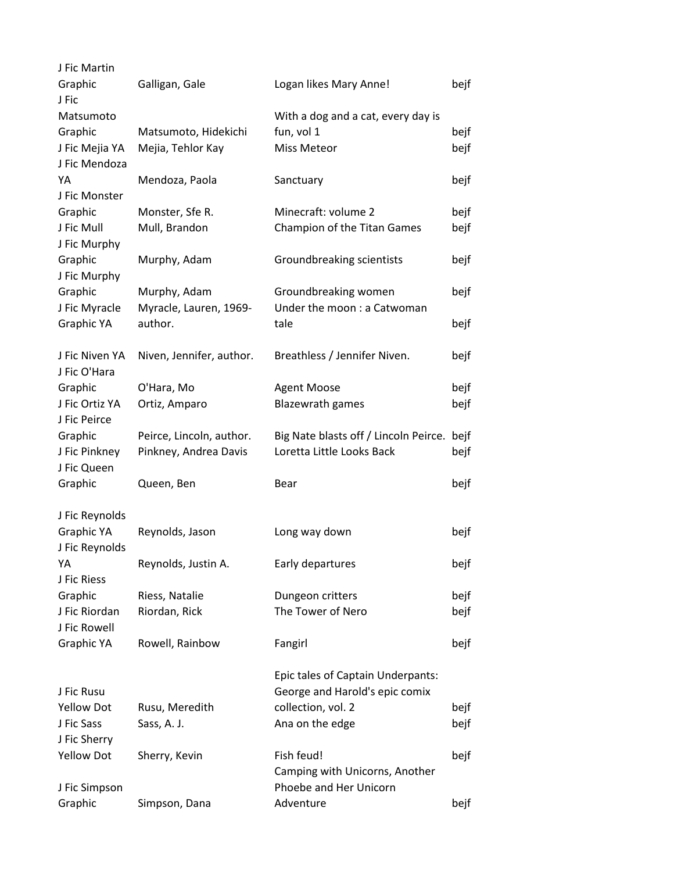| J Fic Martin      |                          |                                       |      |
|-------------------|--------------------------|---------------------------------------|------|
| Graphic           | Galligan, Gale           | Logan likes Mary Anne!                | bejf |
| J Fic             |                          |                                       |      |
| Matsumoto         |                          | With a dog and a cat, every day is    |      |
| Graphic           | Matsumoto, Hidekichi     | fun, vol 1                            | bejf |
| J Fic Mejia YA    | Mejia, Tehlor Kay        | Miss Meteor                           | bejf |
| J Fic Mendoza     |                          |                                       |      |
| YA                | Mendoza, Paola           | Sanctuary                             | bejf |
| J Fic Monster     |                          |                                       |      |
| Graphic           | Monster, Sfe R.          | Minecraft: volume 2                   | bejf |
| J Fic Mull        | Mull, Brandon            | Champion of the Titan Games           | bejf |
| J Fic Murphy      |                          |                                       |      |
| Graphic           | Murphy, Adam             | Groundbreaking scientists             | bejf |
| J Fic Murphy      |                          |                                       |      |
| Graphic           | Murphy, Adam             | Groundbreaking women                  | bejf |
| J Fic Myracle     | Myracle, Lauren, 1969-   | Under the moon : a Catwoman           |      |
| Graphic YA        | author.                  | tale                                  | bejf |
|                   |                          |                                       |      |
| J Fic Niven YA    | Niven, Jennifer, author. | Breathless / Jennifer Niven.          | bejf |
| J Fic O'Hara      |                          |                                       |      |
| Graphic           | O'Hara, Mo               | <b>Agent Moose</b>                    | bejf |
| J Fic Ortiz YA    | Ortiz, Amparo            | <b>Blazewrath games</b>               | bejf |
| J Fic Peirce      |                          |                                       |      |
| Graphic           | Peirce, Lincoln, author. | Big Nate blasts off / Lincoln Peirce. | bejf |
| J Fic Pinkney     | Pinkney, Andrea Davis    | Loretta Little Looks Back             | bejf |
| J Fic Queen       |                          |                                       |      |
| Graphic           | Queen, Ben               | Bear                                  | bejf |
|                   |                          |                                       |      |
| J Fic Reynolds    |                          |                                       |      |
| Graphic YA        | Reynolds, Jason          | Long way down                         | bejf |
| J Fic Reynolds    |                          |                                       |      |
| YA                | Reynolds, Justin A.      | Early departures                      | bejf |
| J Fic Riess       |                          |                                       |      |
| Graphic           | Riess, Natalie           | Dungeon critters                      | bejf |
| J Fic Riordan     | Riordan, Rick            | The Tower of Nero                     | bejf |
| J Fic Rowell      |                          |                                       |      |
| Graphic YA        | Rowell, Rainbow          | Fangirl                               | bejf |
|                   |                          |                                       |      |
|                   |                          | Epic tales of Captain Underpants:     |      |
| J Fic Rusu        |                          | George and Harold's epic comix        |      |
| <b>Yellow Dot</b> | Rusu, Meredith           | collection, vol. 2                    | bejf |
| J Fic Sass        | Sass, A. J.              | Ana on the edge                       | bejf |
| J Fic Sherry      |                          |                                       |      |
| <b>Yellow Dot</b> | Sherry, Kevin            | Fish feud!                            | bejf |
|                   |                          | Camping with Unicorns, Another        |      |
| J Fic Simpson     |                          | Phoebe and Her Unicorn                |      |
| Graphic           | Simpson, Dana            | Adventure                             | bejf |
|                   |                          |                                       |      |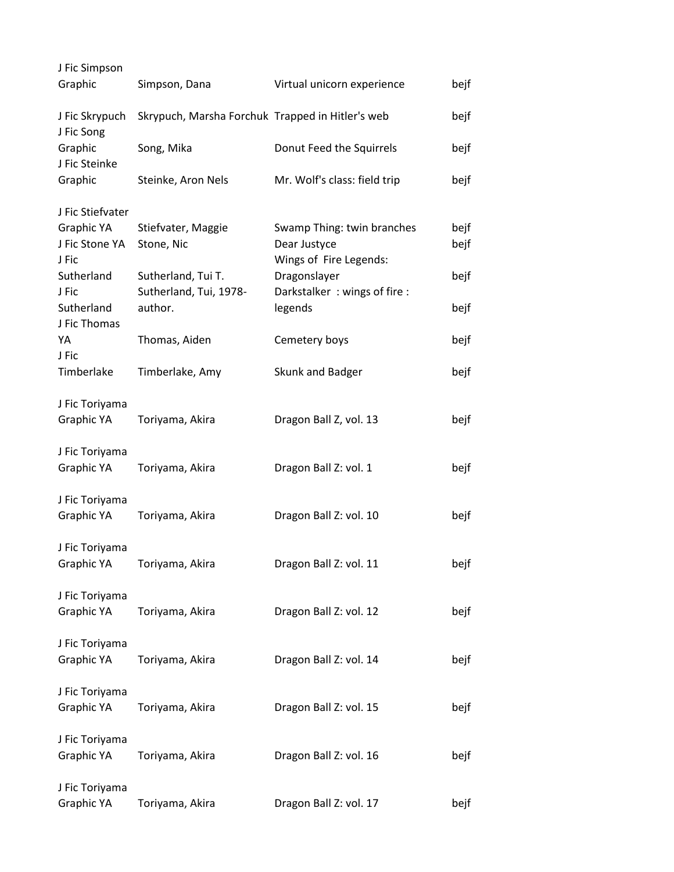| J Fic Simpson                         |                                                  |                                                                      |              |
|---------------------------------------|--------------------------------------------------|----------------------------------------------------------------------|--------------|
| Graphic                               | Simpson, Dana                                    | Virtual unicorn experience                                           | bejf         |
| J Fic Skrypuch<br>J Fic Song          | Skrypuch, Marsha Forchuk Trapped in Hitler's web |                                                                      | bejf         |
| Graphic<br>J Fic Steinke              | Song, Mika                                       | Donut Feed the Squirrels                                             | bejf         |
| Graphic                               | Steinke, Aron Nels                               | Mr. Wolf's class: field trip                                         | bejf         |
| J Fic Stiefvater                      |                                                  |                                                                      |              |
| Graphic YA<br>J Fic Stone YA<br>J Fic | Stiefvater, Maggie<br>Stone, Nic                 | Swamp Thing: twin branches<br>Dear Justyce<br>Wings of Fire Legends: | bejf<br>bejf |
| Sutherland<br>J Fic                   | Sutherland, Tui T.<br>Sutherland, Tui, 1978-     | Dragonslayer<br>Darkstalker: wings of fire:                          | bejf         |
| Sutherland<br>J Fic Thomas            | author.                                          | legends                                                              | bejf         |
| YA<br>J Fic                           | Thomas, Aiden                                    | Cemetery boys                                                        | bejf         |
| Timberlake                            | Timberlake, Amy                                  | Skunk and Badger                                                     | bejf         |
| J Fic Toriyama<br>Graphic YA          | Toriyama, Akira                                  | Dragon Ball Z, vol. 13                                               | bejf         |
| J Fic Toriyama<br>Graphic YA          | Toriyama, Akira                                  | Dragon Ball Z: vol. 1                                                | bejf         |
| J Fic Toriyama<br>Graphic YA          | Toriyama, Akira                                  | Dragon Ball Z: vol. 10                                               | bejf         |
| J Fic Toriyama<br>Graphic YA          | Toriyama, Akira                                  | Dragon Ball Z: vol. 11                                               | bejf         |
| J Fic Toriyama<br>Graphic YA          | Toriyama, Akira                                  | Dragon Ball Z: vol. 12                                               | bejf         |
| J Fic Toriyama<br>Graphic YA          | Toriyama, Akira                                  | Dragon Ball Z: vol. 14                                               | bejf         |
| J Fic Toriyama<br>Graphic YA          | Toriyama, Akira                                  | Dragon Ball Z: vol. 15                                               | bejf         |
| J Fic Toriyama<br>Graphic YA          | Toriyama, Akira                                  | Dragon Ball Z: vol. 16                                               | bejf         |
| J Fic Toriyama<br>Graphic YA          | Toriyama, Akira                                  | Dragon Ball Z: vol. 17                                               | bejf         |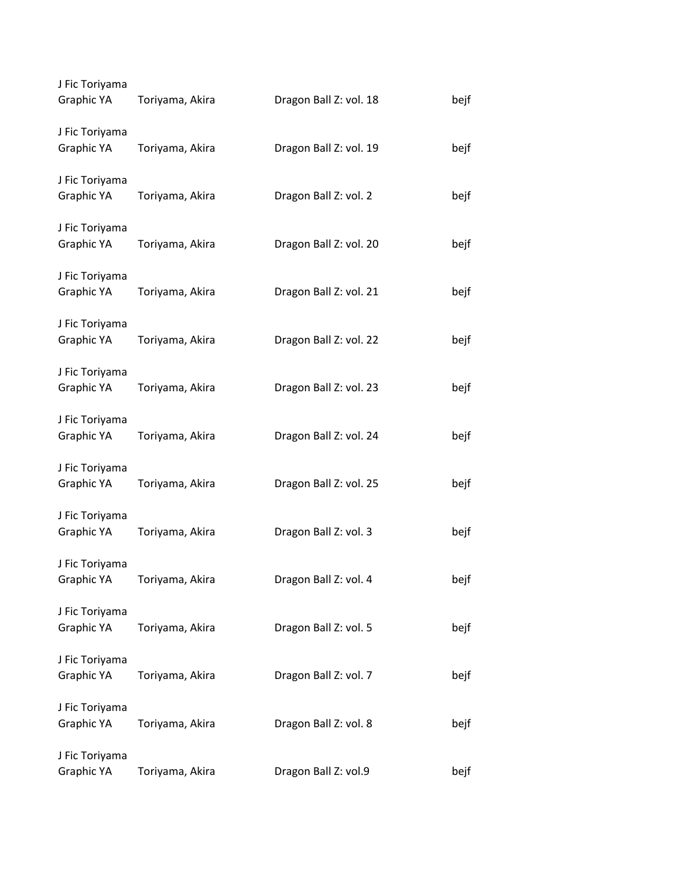| J Fic Toriyama<br>Graphic YA | Toriyama, Akira | Dragon Ball Z: vol. 18 | bejf |
|------------------------------|-----------------|------------------------|------|
| J Fic Toriyama<br>Graphic YA | Toriyama, Akira | Dragon Ball Z: vol. 19 | bejf |
| J Fic Toriyama<br>Graphic YA | Toriyama, Akira | Dragon Ball Z: vol. 2  | bejf |
| J Fic Toriyama<br>Graphic YA | Toriyama, Akira | Dragon Ball Z: vol. 20 | bejf |
| J Fic Toriyama<br>Graphic YA | Toriyama, Akira | Dragon Ball Z: vol. 21 | bejf |
| J Fic Toriyama<br>Graphic YA | Toriyama, Akira | Dragon Ball Z: vol. 22 | bejf |
| J Fic Toriyama<br>Graphic YA | Toriyama, Akira | Dragon Ball Z: vol. 23 | bejf |
| J Fic Toriyama<br>Graphic YA | Toriyama, Akira | Dragon Ball Z: vol. 24 | bejf |
| J Fic Toriyama<br>Graphic YA | Toriyama, Akira | Dragon Ball Z: vol. 25 | bejf |
| J Fic Toriyama<br>Graphic YA | Toriyama, Akira | Dragon Ball Z: vol. 3  | bejf |
| J Fic Toriyama<br>Graphic YA | Toriyama, Akira | Dragon Ball Z: vol. 4  | bejf |
| J Fic Toriyama<br>Graphic YA | Toriyama, Akira | Dragon Ball Z: vol. 5  | bejf |
| J Fic Toriyama<br>Graphic YA | Toriyama, Akira | Dragon Ball Z: vol. 7  | bejf |
| J Fic Toriyama<br>Graphic YA | Toriyama, Akira | Dragon Ball Z: vol. 8  | bejf |
| J Fic Toriyama<br>Graphic YA | Toriyama, Akira | Dragon Ball Z: vol.9   | bejf |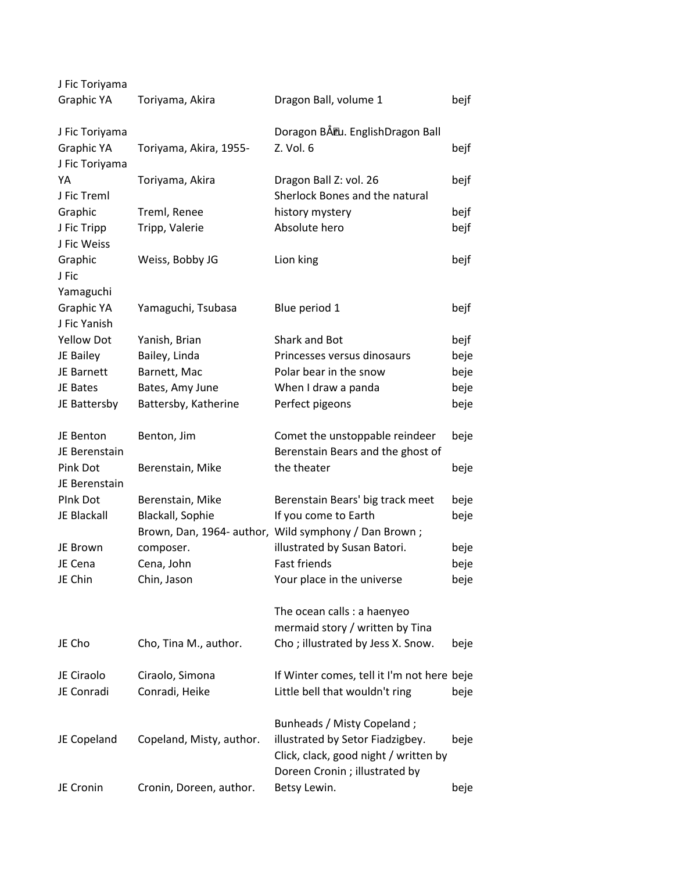| J Fic Toriyama               |                          |                                                                                                             |      |
|------------------------------|--------------------------|-------------------------------------------------------------------------------------------------------------|------|
| Graphic YA                   | Toriyama, Akira          | Dragon Ball, volume 1                                                                                       | bejf |
| J Fic Toriyama               |                          | Doragon BÅ <sup>P</sup> u. EnglishDragon Ball                                                               |      |
| Graphic YA<br>J Fic Toriyama | Toriyama, Akira, 1955-   | Z. Vol. 6                                                                                                   | bejf |
| YA                           | Toriyama, Akira          | Dragon Ball Z: vol. 26                                                                                      | bejf |
| J Fic Treml                  |                          | Sherlock Bones and the natural                                                                              |      |
| Graphic                      | Treml, Renee             | history mystery                                                                                             | bejf |
| J Fic Tripp                  | Tripp, Valerie           | Absolute hero                                                                                               | bejf |
| J Fic Weiss                  |                          |                                                                                                             |      |
| Graphic                      | Weiss, Bobby JG          | Lion king                                                                                                   | bejf |
| J Fic                        |                          |                                                                                                             |      |
| Yamaguchi                    |                          |                                                                                                             |      |
| Graphic YA<br>J Fic Yanish   | Yamaguchi, Tsubasa       | Blue period 1                                                                                               | bejf |
| <b>Yellow Dot</b>            | Yanish, Brian            | Shark and Bot                                                                                               | bejf |
| JE Bailey                    | Bailey, Linda            | Princesses versus dinosaurs                                                                                 | beje |
| JE Barnett                   | Barnett, Mac             | Polar bear in the snow                                                                                      | beje |
| JE Bates                     | Bates, Amy June          | When I draw a panda                                                                                         | beje |
| JE Battersby                 | Battersby, Katherine     | Perfect pigeons                                                                                             | beje |
| JE Benton                    | Benton, Jim              | Comet the unstoppable reindeer                                                                              | beje |
| JE Berenstain                |                          | Berenstain Bears and the ghost of                                                                           |      |
| Pink Dot                     | Berenstain, Mike         | the theater                                                                                                 | beje |
| JE Berenstain                |                          |                                                                                                             |      |
| Plnk Dot                     | Berenstain, Mike         | Berenstain Bears' big track meet                                                                            | beje |
| JE Blackall                  | Blackall, Sophie         | If you come to Earth                                                                                        | beje |
|                              |                          | Brown, Dan, 1964- author, Wild symphony / Dan Brown;                                                        |      |
| JE Brown                     | composer.                | illustrated by Susan Batori.                                                                                | beje |
| JE Cena                      | Cena, John               | <b>Fast friends</b>                                                                                         | beje |
| JE Chin                      | Chin, Jason              | Your place in the universe                                                                                  | beje |
|                              |                          | The ocean calls : a haenyeo                                                                                 |      |
|                              |                          | mermaid story / written by Tina                                                                             |      |
| JE Cho                       | Cho, Tina M., author.    | Cho; illustrated by Jess X. Snow.                                                                           | beje |
| JE Ciraolo                   | Ciraolo, Simona          | If Winter comes, tell it I'm not here beje                                                                  |      |
| JE Conradi                   | Conradi, Heike           | Little bell that wouldn't ring                                                                              | beje |
|                              |                          | Bunheads / Misty Copeland;                                                                                  |      |
| JE Copeland                  | Copeland, Misty, author. | illustrated by Setor Fiadzigbey.<br>Click, clack, good night / written by<br>Doreen Cronin ; illustrated by | beje |
| JE Cronin                    | Cronin, Doreen, author.  | Betsy Lewin.                                                                                                | beje |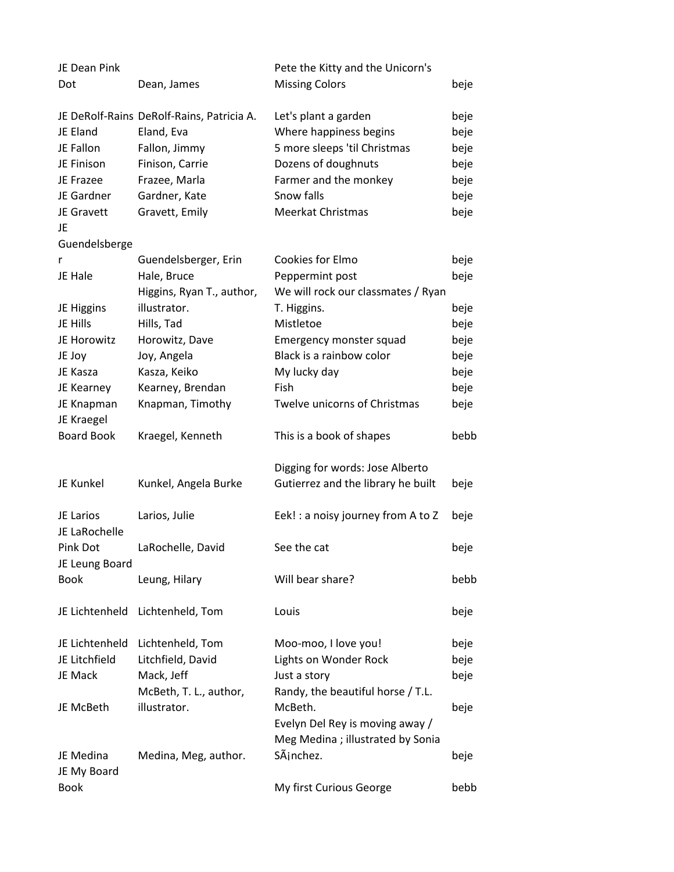| JE Dean Pink               |                                           | Pete the Kitty and the Unicorn's   |      |
|----------------------------|-------------------------------------------|------------------------------------|------|
| Dot                        | Dean, James                               | <b>Missing Colors</b>              | beje |
|                            | JE DeRolf-Rains DeRolf-Rains, Patricia A. | Let's plant a garden               | beje |
| JE Eland                   | Eland, Eva                                | Where happiness begins             | beje |
| JE Fallon                  | Fallon, Jimmy                             | 5 more sleeps 'til Christmas       | beje |
| JE Finison                 | Finison, Carrie                           | Dozens of doughnuts                | beje |
| JE Frazee                  | Frazee, Marla                             | Farmer and the monkey              | beje |
| JE Gardner                 | Gardner, Kate                             | Snow falls                         | beje |
| JE Gravett                 | Gravett, Emily                            | Meerkat Christmas                  | beje |
| JE                         |                                           |                                    |      |
| Guendelsberge              |                                           |                                    |      |
| r                          | Guendelsberger, Erin                      | Cookies for Elmo                   | beje |
| JE Hale                    | Hale, Bruce                               | Peppermint post                    | beje |
|                            | Higgins, Ryan T., author,                 | We will rock our classmates / Ryan |      |
| JE Higgins                 | illustrator.                              | T. Higgins.                        | beje |
| JE Hills                   | Hills, Tad                                | Mistletoe                          | beje |
| JE Horowitz                | Horowitz, Dave                            | Emergency monster squad            | beje |
| JE Joy                     | Joy, Angela                               | Black is a rainbow color           | beje |
| JE Kasza                   | Kasza, Keiko                              | My lucky day                       | beje |
| JE Kearney                 | Kearney, Brendan                          | Fish                               | beje |
| JE Knapman                 | Knapman, Timothy                          | Twelve unicorns of Christmas       | beje |
| JE Kraegel                 |                                           |                                    |      |
| <b>Board Book</b>          | Kraegel, Kenneth                          | This is a book of shapes           | bebb |
|                            |                                           | Digging for words: Jose Alberto    |      |
| JE Kunkel                  | Kunkel, Angela Burke                      | Gutierrez and the library he built | beje |
| JE Larios<br>JE LaRochelle | Larios, Julie                             | Eek! : a noisy journey from A to Z | beje |
| Pink Dot<br>JE Leung Board | LaRochelle, David                         | See the cat                        | beje |
| <b>Book</b>                | Leung, Hilary                             | Will bear share?                   | bebb |
| JE Lichtenheld             | Lichtenheld, Tom                          | Louis                              | beje |
| JE Lichtenheld             | Lichtenheld, Tom                          | Moo-moo, I love you!               | beje |
| JE Litchfield              | Litchfield, David                         | Lights on Wonder Rock              | beje |
| JE Mack                    | Mack, Jeff                                | Just a story                       | beje |
|                            | McBeth, T. L., author,                    | Randy, the beautiful horse / T.L.  |      |
| JE McBeth                  | illustrator.                              | McBeth.                            | beje |
|                            |                                           | Evelyn Del Rey is moving away /    |      |
|                            |                                           | Meg Medina ; illustrated by Sonia  |      |
| JE Medina                  | Medina, Meg, author.                      | SÃjnchez.                          | beje |
| JE My Board                |                                           |                                    |      |
| Book                       |                                           | My first Curious George            | bebb |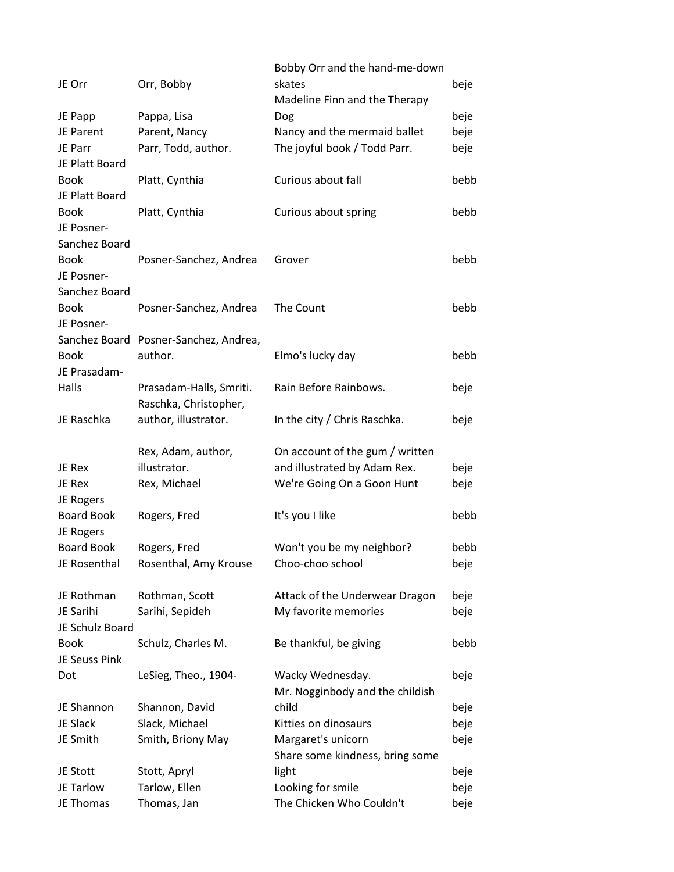| JE Orr            | Orr, Bobby                            | Bobby Orr and the hand-me-down<br>skates<br>Madeline Finn and the Therapy | beje |
|-------------------|---------------------------------------|---------------------------------------------------------------------------|------|
| JE Papp           | Pappa, Lisa                           | Dog                                                                       | beje |
| JE Parent         | Parent, Nancy                         | Nancy and the mermaid ballet                                              | beje |
| JE Parr           | Parr, Todd, author.                   | The joyful book / Todd Parr.                                              | beje |
| JE Platt Board    |                                       |                                                                           |      |
| <b>Book</b>       | Platt, Cynthia                        | Curious about fall                                                        | bebb |
| JE Platt Board    |                                       |                                                                           |      |
| <b>Book</b>       | Platt, Cynthia                        | Curious about spring                                                      | bebb |
| JE Posner-        |                                       |                                                                           |      |
| Sanchez Board     |                                       |                                                                           |      |
| <b>Book</b>       | Posner-Sanchez, Andrea                | Grover                                                                    | bebb |
| JE Posner-        |                                       |                                                                           |      |
| Sanchez Board     |                                       |                                                                           |      |
| <b>Book</b>       | Posner-Sanchez, Andrea                | The Count                                                                 | bebb |
| JE Posner-        |                                       |                                                                           |      |
|                   | Sanchez Board Posner-Sanchez, Andrea, |                                                                           |      |
| <b>Book</b>       | author.                               | Elmo's lucky day                                                          | bebb |
| JE Prasadam-      |                                       |                                                                           |      |
| Halls             | Prasadam-Halls, Smriti.               | Rain Before Rainbows.                                                     | beje |
|                   | Raschka, Christopher,                 |                                                                           |      |
| JE Raschka        | author, illustrator.                  | In the city / Chris Raschka.                                              | beje |
|                   |                                       |                                                                           |      |
|                   | Rex, Adam, author,                    | On account of the gum / written                                           |      |
| JE Rex            | illustrator.                          | and illustrated by Adam Rex.                                              | beje |
| JE Rex            | Rex, Michael                          | We're Going On a Goon Hunt                                                | beje |
| JE Rogers         |                                       |                                                                           |      |
| <b>Board Book</b> | Rogers, Fred                          | It's you I like                                                           | bebb |
| JE Rogers         |                                       |                                                                           |      |
| Board Book        | Rogers, Fred                          | Won't you be my neighbor?                                                 | bebb |
| JE Rosenthal      | Rosenthal, Amy Krouse                 | Choo-choo school                                                          | beje |
|                   |                                       |                                                                           |      |
| JE Rothman        | Rothman, Scott                        | Attack of the Underwear Dragon                                            | beje |
| JE Sarihi         | Sarihi, Sepideh                       | My favorite memories                                                      | beje |
| JE Schulz Board   |                                       |                                                                           |      |
| Book              | Schulz, Charles M.                    | Be thankful, be giving                                                    | bebb |
| JE Seuss Pink     |                                       |                                                                           |      |
| Dot               | LeSieg, Theo., 1904-                  | Wacky Wednesday.                                                          | beje |
|                   |                                       | Mr. Nogginbody and the childish                                           |      |
| JE Shannon        | Shannon, David                        | child                                                                     | beje |
| JE Slack          | Slack, Michael                        | Kitties on dinosaurs                                                      | beje |
| JE Smith          | Smith, Briony May                     | Margaret's unicorn                                                        | beje |
|                   |                                       | Share some kindness, bring some                                           |      |
| JE Stott          | Stott, Apryl                          | light                                                                     | beje |
| JE Tarlow         | Tarlow, Ellen                         | Looking for smile                                                         | beje |
| JE Thomas         | Thomas, Jan                           | The Chicken Who Couldn't                                                  | beje |